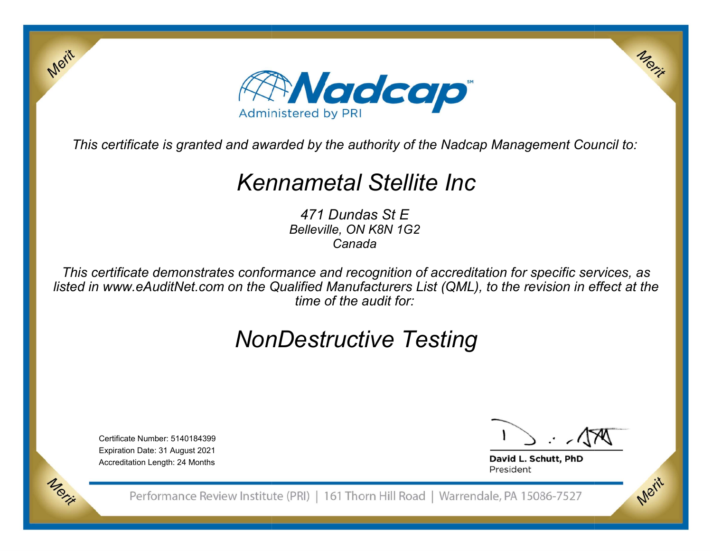

This certificate is granted and awarded by the authority of the Nadcap Management Council to:

## **Kennametal Stellite Inc**<br><sup>471 Dundas St E<br>Belleville, ON K8N 1G2</sup>

Canada<br>This certificate demonstrates conformance and recognition of accreditation for specific services, as<br>listed in www.eAuditNet.com on the Qualified Manufacturers List (QML), to the revision in effect at the<br>time of th Belleville, ON K8N 1G2<br>Canada<br>This certificate demonstrates conformance and recognition of accreditation for specific services, as<br>ted in www.eAuditNet.com on the Qualified Manufacturers List (QML), to the revision in effe listed in www.eAuditNet.com on the Qualified Manufacturers List (QML), to the revision in effect at the time of the audit for:<br>MONDEStructive Testing<br>NONDESTRESTING

# time of the audit for:<br>  $\begin{picture}(160,40) \put(0,0){\line(1,0){155}} \put(1,0){\line(1,0){155}} \put(1,0){\line(1,0){155}} \put(1,0){\line(1,0){155}} \put(1,0){\line(1,0){155}} \put(1,0){\line(1,0){155}} \put(1,0){\line(1,0){155}} \put(1,0){\line(1,0){155}} \put(1,0){\line(1,0){155}} \put(1,0){\line(1,0){155}} \put(1$

Expiration Date: 31 August 2021<br>Accreditation Length: 24 Months<br>Performance Re

Merit

Merit

Merit

President

Certificate Number: 5140184399<br>Expiration Date: 31 August 2021<br>Accreditation Length: 24 Months<br>Performance Review Institute (PRI) | 161 Thorn Hill Road | Warrendale, PA 15086-7527 Accreditation Length: 24 Months<br>Performance Rev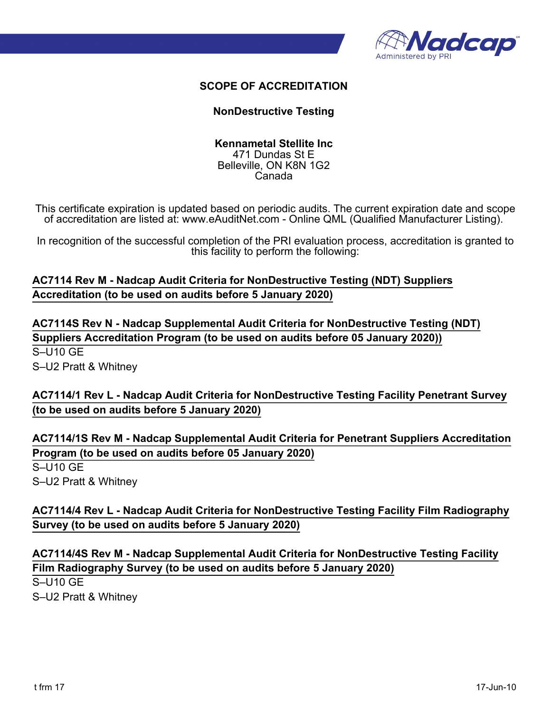

## SCOPE OF ACCREDITATION

### NonDestructive Testing

### Kennametal Stellite Inc 471 Dundas St E Belleville, ON K8N 1G2 Canada

This certificate expiration is updated based on periodic audits. The current expiration date and scope of accreditation are listed at: www.eAuditNet.com - Online QML (Qualified Manufacturer Listing).

In recognition of the successful completion of the PRI evaluation process, accreditation is granted to this facility to perform the following:

AC7114 Rev M - Nadcap Audit Criteria for NonDestructive Testing (NDT) Suppliers Accreditation (to be used on audits before 5 January 2020)

AC7114S Rev N - Nadcap Supplemental Audit Criteria for NonDestructive Testing (NDT) Suppliers Accreditation Program (to be used on audits before 05 January 2020)) S–U10 GE S–U2 Pratt & Whitney

AC7114/1 Rev L - Nadcap Audit Criteria for NonDestructive Testing Facility Penetrant Survey (to be used on audits before 5 January 2020)

AC7114/1S Rev M - Nadcap Supplemental Audit Criteria for Penetrant Suppliers Accreditation Program (to be used on audits before 05 January 2020) S–U10 GE S–U2 Pratt & Whitney Program (to be used on audits before us January 2020)<br>S-U10 GE<br>S-U2 Pratt & Whitney<br>AC7114/4 Rev L - Nadcap Audit Criteria for NonDestructive Testing Facility Film Radiography<br>Survey (to be used on audits before 5 January

AC7114/4 Rev L - Nadcap Audit Criteria for NonDestructive Testing Facility Film Radiography Survey (to be used on audits before 5 January 2020)

AC7114/4S Rev M - Nadcap Supplemental Audit Criteria for NonDestructive Testing Facility Film Radiography Survey (to be used on audits before 5 January 2020)

S–U10 GE S–U2 Pratt & Whitney